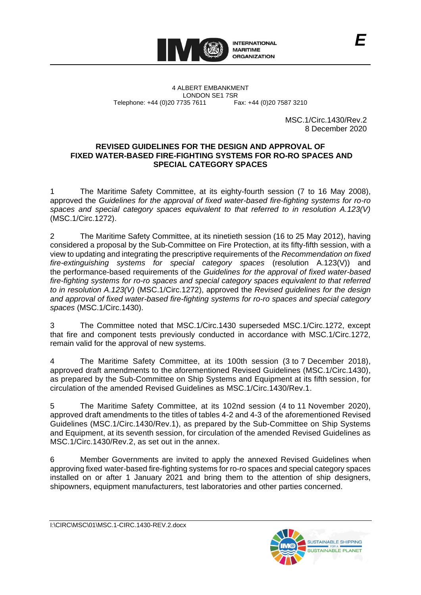

4 ALBERT EMBANKMENT LONDON SE1 7SR Telephone: +44 (0)20 7735 7611 Fax: +44 (0)20 7587 3210

> MSC.1/Circ.1430/Rev.2 8 December 2020

## **REVISED GUIDELINES FOR THE DESIGN AND APPROVAL OF FIXED WATER-BASED FIRE-FIGHTING SYSTEMS FOR RO-RO SPACES AND SPECIAL CATEGORY SPACES**

1 The Maritime Safety Committee, at its eighty-fourth session (7 to 16 May 2008), approved the *Guidelines for the approval of fixed water-based fire-fighting systems for ro-ro spaces and special category spaces equivalent to that referred to in resolution A.123(V)* (MSC.1/Circ.1272).

2 The Maritime Safety Committee, at its ninetieth session (16 to 25 May 2012), having considered a proposal by the Sub-Committee on Fire Protection, at its fifty-fifth session, with a view to updating and integrating the prescriptive requirements of the *Recommendation on fixed fire-extinguishing systems for special category spaces* (resolution A.123(V)) and the performance-based requirements of the *Guidelines for the approval of fixed water-based fire-fighting systems for ro-ro spaces and special category spaces equivalent to that referred to in resolution A.123(V)* (MSC.1/Circ.1272), approved the *Revised guidelines for the design and approval of fixed water-based fire-fighting systems for ro-ro spaces and special category spaces* (MSC.1/Circ.1430).

3 The Committee noted that MSC.1/Circ.1430 superseded MSC.1/Circ.1272, except that fire and component tests previously conducted in accordance with MSC.1/Circ.1272, remain valid for the approval of new systems.

4 The Maritime Safety Committee, at its 100th session (3 to 7 December 2018), approved draft amendments to the aforementioned Revised Guidelines (MSC.1/Circ.1430), as prepared by the Sub-Committee on Ship Systems and Equipment at its fifth session, for circulation of the amended Revised Guidelines as MSC.1/Circ.1430/Rev.1.

5 The Maritime Safety Committee, at its 102nd session (4 to 11 November 2020), approved draft amendments to the titles of tables 4-2 and 4-3 of the aforementioned Revised Guidelines (MSC.1/Circ.1430/Rev.1), as prepared by the Sub-Committee on Ship Systems and Equipment, at its seventh session, for circulation of the amended Revised Guidelines as MSC.1/Circ.1430/Rev.2, as set out in the annex.

6 Member Governments are invited to apply the annexed Revised Guidelines when approving fixed water-based fire-fighting systems for ro-ro spaces and special category spaces installed on or after 1 January 2021 and bring them to the attention of ship designers, shipowners, equipment manufacturers, test laboratories and other parties concerned.

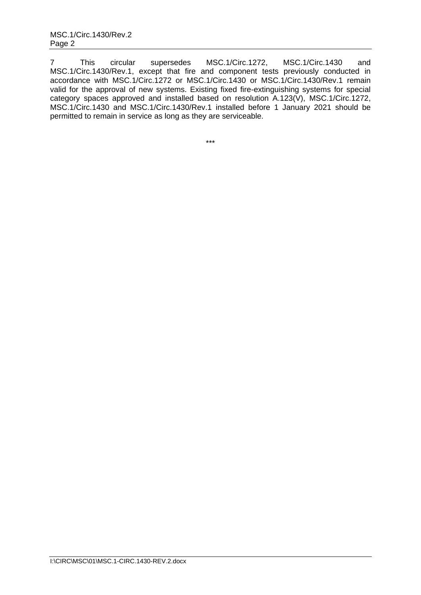7 This circular supersedes MSC.1/Circ.1272, MSC.1/Circ.1430 and MSC.1/Circ.1430/Rev.1, except that fire and component tests previously conducted in accordance with MSC.1/Circ.1272 or MSC.1/Circ.1430 or MSC.1/Circ.1430/Rev.1 remain valid for the approval of new systems. Existing fixed fire-extinguishing systems for special category spaces approved and installed based on resolution A.123(V), MSC.1/Circ.1272, MSC.1/Circ.1430 and MSC.1/Circ.1430/Rev.1 installed before 1 January 2021 should be permitted to remain in service as long as they are serviceable.

\*\*\*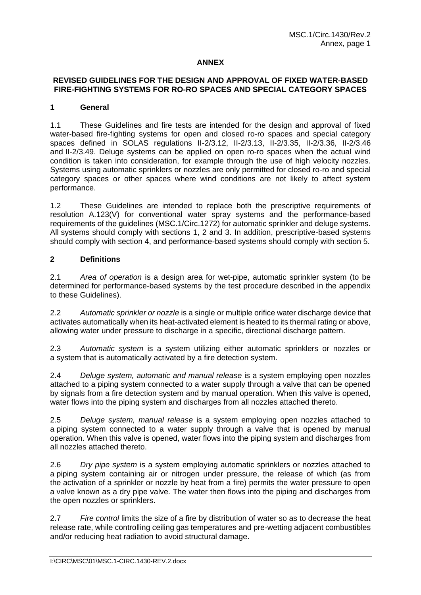# **ANNEX**

# **REVISED GUIDELINES FOR THE DESIGN AND APPROVAL OF FIXED WATER-BASED FIRE-FIGHTING SYSTEMS FOR RO-RO SPACES AND SPECIAL CATEGORY SPACES**

### **1 General**

1.1 These Guidelines and fire tests are intended for the design and approval of fixed water-based fire-fighting systems for open and closed ro-ro spaces and special category spaces defined in SOLAS regulations II-2/3.12, II-2/3.13, II-2/3.35, II-2/3.36, II-2/3.46 and II-2/3.49. Deluge systems can be applied on open ro-ro spaces when the actual wind condition is taken into consideration, for example through the use of high velocity nozzles. Systems using automatic sprinklers or nozzles are only permitted for closed ro-ro and special category spaces or other spaces where wind conditions are not likely to affect system performance.

1.2 These Guidelines are intended to replace both the prescriptive requirements of resolution A.123(V) for conventional water spray systems and the performance-based requirements of the guidelines (MSC.1/Circ.1272) for automatic sprinkler and deluge systems. All systems should comply with sections 1, 2 and 3. In addition, prescriptive-based systems should comply with section 4, and performance-based systems should comply with section 5.

## **2 Definitions**

2.1 *Area of operation* is a design area for wet-pipe, automatic sprinkler system (to be determined for performance-based systems by the test procedure described in the appendix to these Guidelines).

2.2 *Automatic sprinkler or nozzle* is a single or multiple orifice water discharge device that activates automatically when its heat-activated element is heated to its thermal rating or above, allowing water under pressure to discharge in a specific, directional discharge pattern.

2.3 *Automatic system* is a system utilizing either automatic sprinklers or nozzles or a system that is automatically activated by a fire detection system.

2.4 *Deluge system, automatic and manual release* is a system employing open nozzles attached to a piping system connected to a water supply through a valve that can be opened by signals from a fire detection system and by manual operation. When this valve is opened, water flows into the piping system and discharges from all nozzles attached thereto.

2.5 *Deluge system, manual release* is a system employing open nozzles attached to a piping system connected to a water supply through a valve that is opened by manual operation. When this valve is opened, water flows into the piping system and discharges from all nozzles attached thereto.

2.6 *Dry pipe system* is a system employing automatic sprinklers or nozzles attached to a piping system containing air or nitrogen under pressure, the release of which (as from the activation of a sprinkler or nozzle by heat from a fire) permits the water pressure to open a valve known as a dry pipe valve. The water then flows into the piping and discharges from the open nozzles or sprinklers.

2.7 *Fire control* limits the size of a fire by distribution of water so as to decrease the heat release rate, while controlling ceiling gas temperatures and pre-wetting adjacent combustibles and/or reducing heat radiation to avoid structural damage.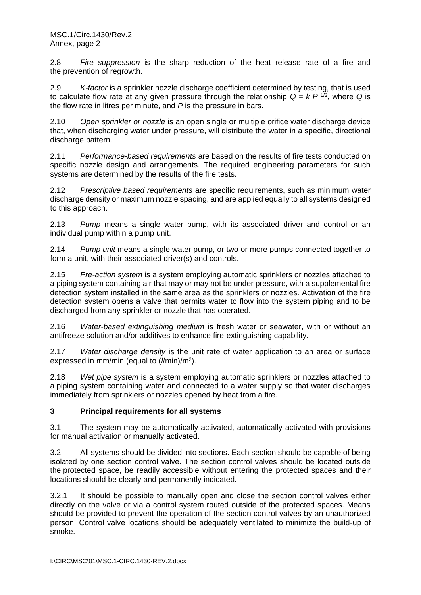2.8 *Fire suppression* is the sharp reduction of the heat release rate of a fire and the prevention of regrowth.

2.9 *K-factor* is a sprinkler nozzle discharge coefficient determined by testing, that is used to calculate flow rate at any given pressure through the relationship *Q* = *k P* 1/2 , where *Q* is the flow rate in litres per minute, and *P* is the pressure in bars.

2.10 *Open sprinkler or nozzle* is an open single or multiple orifice water discharge device that, when discharging water under pressure, will distribute the water in a specific, directional discharge pattern.

2.11 *Performance-based requirements* are based on the results of fire tests conducted on specific nozzle design and arrangements. The required engineering parameters for such systems are determined by the results of the fire tests.

2.12 *Prescriptive based requirements* are specific requirements, such as minimum water discharge density or maximum nozzle spacing, and are applied equally to all systems designed to this approach.

2.13 *Pump* means a single water pump, with its associated driver and control or an individual pump within a pump unit.

2.14 *Pump unit* means a single water pump, or two or more pumps connected together to form a unit, with their associated driver(s) and controls.

2.15 *Pre-action system* is a system employing automatic sprinklers or nozzles attached to a piping system containing air that may or may not be under pressure, with a supplemental fire detection system installed in the same area as the sprinklers or nozzles. Activation of the fire detection system opens a valve that permits water to flow into the system piping and to be discharged from any sprinkler or nozzle that has operated.

2.16 *Water-based extinguishing medium* is fresh water or seawater, with or without an antifreeze solution and/or additives to enhance fire-extinguishing capability.

2.17 *Water discharge density* is the unit rate of water application to an area or surface expressed in mm/min (equal to (*l*/min)/m<sup>2</sup> ).

2.18 *Wet pipe system* is a system employing automatic sprinklers or nozzles attached to a piping system containing water and connected to a water supply so that water discharges immediately from sprinklers or nozzles opened by heat from a fire.

## **3 Principal requirements for all systems**

3.1 The system may be automatically activated, automatically activated with provisions for manual activation or manually activated.

3.2 All systems should be divided into sections. Each section should be capable of being isolated by one section control valve. The section control valves should be located outside the protected space, be readily accessible without entering the protected spaces and their locations should be clearly and permanently indicated.

3.2.1 It should be possible to manually open and close the section control valves either directly on the valve or via a control system routed outside of the protected spaces. Means should be provided to prevent the operation of the section control valves by an unauthorized person. Control valve locations should be adequately ventilated to minimize the build-up of smoke.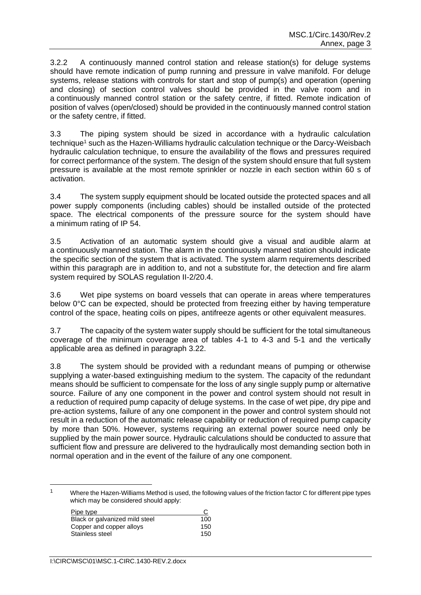3.2.2 A continuously manned control station and release station(s) for deluge systems should have remote indication of pump running and pressure in valve manifold. For deluge systems, release stations with controls for start and stop of pump(s) and operation (opening and closing) of section control valves should be provided in the valve room and in a continuously manned control station or the safety centre, if fitted. Remote indication of position of valves (open/closed) should be provided in the continuously manned control station or the safety centre, if fitted.

3.3 The piping system should be sized in accordance with a hydraulic calculation technique<sup>1</sup> such as the Hazen-Williams hydraulic calculation technique or the Darcy-Weisbach hydraulic calculation technique, to ensure the availability of the flows and pressures required for correct performance of the system. The design of the system should ensure that full system pressure is available at the most remote sprinkler or nozzle in each section within 60 s of activation.

3.4 The system supply equipment should be located outside the protected spaces and all power supply components (including cables) should be installed outside of the protected space. The electrical components of the pressure source for the system should have a minimum rating of IP 54.

3.5 Activation of an automatic system should give a visual and audible alarm at a continuously manned station. The alarm in the continuously manned station should indicate the specific section of the system that is activated. The system alarm requirements described within this paragraph are in addition to, and not a substitute for, the detection and fire alarm system required by SOLAS regulation II-2/20.4.

3.6 Wet pipe systems on board vessels that can operate in areas where temperatures below 0°C can be expected, should be protected from freezing either by having temperature control of the space, heating coils on pipes, antifreeze agents or other equivalent measures.

3.7 The capacity of the system water supply should be sufficient for the total simultaneous coverage of the minimum coverage area of tables 4-1 to 4-3 and 5-1 and the vertically applicable area as defined in paragraph 3.22.

3.8 The system should be provided with a redundant means of pumping or otherwise supplying a water-based extinguishing medium to the system. The capacity of the redundant means should be sufficient to compensate for the loss of any single supply pump or alternative source. Failure of any one component in the power and control system should not result in a reduction of required pump capacity of deluge systems*.* In the case of wet pipe, dry pipe and pre-action systems, failure of any one component in the power and control system should not result in a reduction of the automatic release capability or reduction of required pump capacity by more than 50%. However, systems requiring an external power source need only be supplied by the main power source. Hydraulic calculations should be conducted to assure that sufficient flow and pressure are delivered to the hydraulically most demanding section both in normal operation and in the event of the failure of any one component.

<sup>&</sup>lt;sup>1</sup> Where the Hazen-Williams Method is used, the following values of the friction factor C for different pipe types which may be considered should apply:

| Pipe type                      |     |
|--------------------------------|-----|
| Black or galvanized mild steel | 100 |
| Copper and copper alloys       | 150 |
| Stainless steel                | 150 |
|                                |     |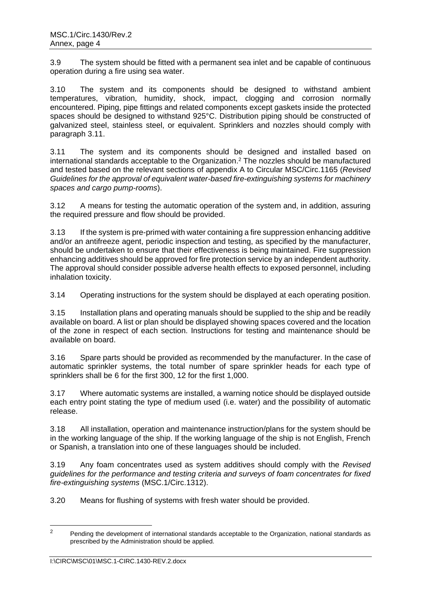3.9 The system should be fitted with a permanent sea inlet and be capable of continuous operation during a fire using sea water.

3.10 The system and its components should be designed to withstand ambient temperatures, vibration, humidity, shock, impact, clogging and corrosion normally encountered. Piping, pipe fittings and related components except gaskets inside the protected spaces should be designed to withstand 925°C. Distribution piping should be constructed of galvanized steel, stainless steel, or equivalent. Sprinklers and nozzles should comply with paragraph 3.11.

3.11 The system and its components should be designed and installed based on international standards acceptable to the Organization. <sup>2</sup> The nozzles should be manufactured and tested based on the relevant sections of appendix A to Circular MSC/Circ.1165 (*Revised Guidelines for the approval of equivalent water-based fire-extinguishing systems for machinery spaces and cargo pump-rooms*).

3.12 A means for testing the automatic operation of the system and, in addition, assuring the required pressure and flow should be provided.

3.13 If the system is pre-primed with water containing a fire suppression enhancing additive and/or an antifreeze agent, periodic inspection and testing, as specified by the manufacturer, should be undertaken to ensure that their effectiveness is being maintained. Fire suppression enhancing additives should be approved for fire protection service by an independent authority. The approval should consider possible adverse health effects to exposed personnel, including inhalation toxicity.

3.14 Operating instructions for the system should be displayed at each operating position.

3.15 Installation plans and operating manuals should be supplied to the ship and be readily available on board. A list or plan should be displayed showing spaces covered and the location of the zone in respect of each section. Instructions for testing and maintenance should be available on board.

3.16 Spare parts should be provided as recommended by the manufacturer. In the case of automatic sprinkler systems, the total number of spare sprinkler heads for each type of sprinklers shall be 6 for the first 300, 12 for the first 1,000.

3.17 Where automatic systems are installed, a warning notice should be displayed outside each entry point stating the type of medium used (i.e. water) and the possibility of automatic release.

3.18 All installation, operation and maintenance instruction/plans for the system should be in the working language of the ship. If the working language of the ship is not English, French or Spanish, a translation into one of these languages should be included.

3.19 Any foam concentrates used as system additives should comply with the *Revised guidelines for the performance and testing criteria and surveys of foam concentrates for fixed fire-extinguishing systems* (MSC.1/Circ.1312).

3.20 Means for flushing of systems with fresh water should be provided.

<sup>&</sup>lt;sup>2</sup> Pending the development of international standards acceptable to the Organization, national standards as prescribed by the Administration should be applied.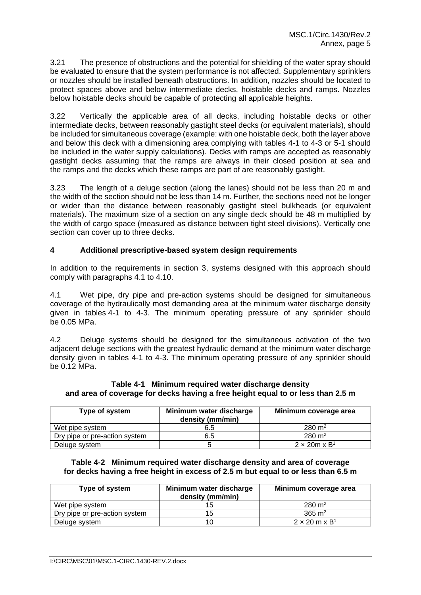3.21 The presence of obstructions and the potential for shielding of the water spray should be evaluated to ensure that the system performance is not affected. Supplementary sprinklers or nozzles should be installed beneath obstructions. In addition, nozzles should be located to protect spaces above and below intermediate decks, hoistable decks and ramps. Nozzles below hoistable decks should be capable of protecting all applicable heights.

3.22 Vertically the applicable area of all decks, including hoistable decks or other intermediate decks, between reasonably gastight steel decks (or equivalent materials), should be included for simultaneous coverage (example: with one hoistable deck, both the layer above and below this deck with a dimensioning area complying with tables 4-1 to 4-3 or 5-1 should be included in the water supply calculations). Decks with ramps are accepted as reasonably gastight decks assuming that the ramps are always in their closed position at sea and the ramps and the decks which these ramps are part of are reasonably gastight.

3.23 The length of a deluge section (along the lanes) should not be less than 20 m and the width of the section should not be less than 14 m. Further, the sections need not be longer or wider than the distance between reasonably gastight steel bulkheads (or equivalent materials). The maximum size of a section on any single deck should be 48 m multiplied by the width of cargo space (measured as distance between tight steel divisions). Vertically one section can cover up to three decks.

# **4 Additional prescriptive-based system design requirements**

In addition to the requirements in section 3, systems designed with this approach should comply with paragraphs 4.1 to 4.10.

4.1 Wet pipe, dry pipe and pre-action systems should be designed for simultaneous coverage of the hydraulically most demanding area at the minimum water discharge density given in tables 4-1 to 4-3. The minimum operating pressure of any sprinkler should be 0.05 MPa.

4.2 Deluge systems should be designed for the simultaneous activation of the two adjacent deluge sections with the greatest hydraulic demand at the minimum water discharge density given in tables 4-1 to 4-3. The minimum operating pressure of any sprinkler should be 0.12 MPa.

#### **Table 4-1 Minimum required water discharge density and area of coverage for decks having a free height equal to or less than 2.5 m**

| Type of system                | Minimum water discharge<br>density (mm/min) | Minimum coverage area            |
|-------------------------------|---------------------------------------------|----------------------------------|
| Wet pipe system               | 6.5                                         | $280 \text{ m}^2$                |
| Dry pipe or pre-action system | 6.5                                         | $280 \text{ m}^2$                |
| Deluge system                 |                                             | $2 \times 20$ m x B <sup>1</sup> |

## **Table 4-2 Minimum required water discharge density and area of coverage for decks having a free height in excess of 2.5 m but equal to or less than 6.5 m**

| Type of system                | Minimum water discharge<br>density (mm/min) | Minimum coverage area            |
|-------------------------------|---------------------------------------------|----------------------------------|
| Wet pipe system               | ה י                                         | $280 \; \text{m}^2$              |
| Dry pipe or pre-action system | 15                                          | 365 $m2$                         |
| Deluge system                 |                                             | $2 \times 20$ m x B <sup>1</sup> |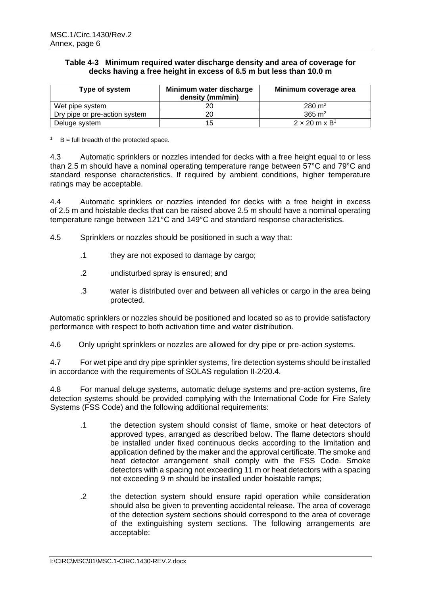## **Table 4-3 Minimum required water discharge density and area of coverage for decks having a free height in excess of 6.5 m but less than 10.0 m**

| Type of system                | Minimum water discharge<br>density (mm/min) | Minimum coverage area            |
|-------------------------------|---------------------------------------------|----------------------------------|
| Wet pipe system               |                                             | $280 \text{ m}^2$                |
| Dry pipe or pre-action system |                                             | 365 $\,$ m <sup>2</sup>          |
| Deluge system                 |                                             | $2 \times 20$ m x B <sup>1</sup> |

 $1 \quad B =$  full breadth of the protected space.

4.3 Automatic sprinklers or nozzles intended for decks with a free height equal to or less than 2.5 m should have a nominal operating temperature range between 57°C and 79°C and standard response characteristics. If required by ambient conditions, higher temperature ratings may be acceptable.

4.4 Automatic sprinklers or nozzles intended for decks with a free height in excess of 2.5 m and hoistable decks that can be raised above 2.5 m should have a nominal operating temperature range between 121°C and 149°C and standard response characteristics.

4.5 Sprinklers or nozzles should be positioned in such a way that:

- .1 they are not exposed to damage by cargo;
- .2 undisturbed spray is ensured; and
- .3 water is distributed over and between all vehicles or cargo in the area being protected.

Automatic sprinklers or nozzles should be positioned and located so as to provide satisfactory performance with respect to both activation time and water distribution.

4.6 Only upright sprinklers or nozzles are allowed for dry pipe or pre-action systems.

4.7 For wet pipe and dry pipe sprinkler systems, fire detection systems should be installed in accordance with the requirements of SOLAS regulation II-2/20.4.

4.8 For manual deluge systems, automatic deluge systems and pre-action systems, fire detection systems should be provided complying with the International Code for Fire Safety Systems (FSS Code) and the following additional requirements:

- .1 the detection system should consist of flame, smoke or heat detectors of approved types, arranged as described below. The flame detectors should be installed under fixed continuous decks according to the limitation and application defined by the maker and the approval certificate. The smoke and heat detector arrangement shall comply with the FSS Code. Smoke detectors with a spacing not exceeding 11 m or heat detectors with a spacing not exceeding 9 m should be installed under hoistable ramps;
- .2 the detection system should ensure rapid operation while consideration should also be given to preventing accidental release. The area of coverage of the detection system sections should correspond to the area of coverage of the extinguishing system sections. The following arrangements are acceptable: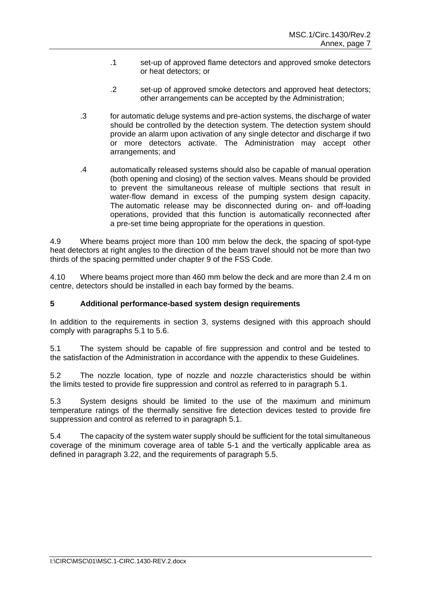- .1 set-up of approved flame detectors and approved smoke detectors or heat detectors; or
- .2 set-up of approved smoke detectors and approved heat detectors; other arrangements can be accepted by the Administration;
- .3 for automatic deluge systems and pre-action systems, the discharge of water should be controlled by the detection system. The detection system should provide an alarm upon activation of any single detector and discharge if two or more detectors activate. The Administration may accept other arrangements; and
- .4 automatically released systems should also be capable of manual operation (both opening and closing) of the section valves. Means should be provided to prevent the simultaneous release of multiple sections that result in water-flow demand in excess of the pumping system design capacity. The automatic release may be disconnected during on- and off-loading operations, provided that this function is automatically reconnected after a pre-set time being appropriate for the operations in question.

4.9 Where beams project more than 100 mm below the deck, the spacing of spot-type heat detectors at right angles to the direction of the beam travel should not be more than two thirds of the spacing permitted under chapter 9 of the FSS Code.

4.10 Where beams project more than 460 mm below the deck and are more than 2.4 m on centre, detectors should be installed in each bay formed by the beams.

## **5 Additional performance-based system design requirements**

In addition to the requirements in section 3, systems designed with this approach should comply with paragraphs 5.1 to 5.6.

5.1 The system should be capable of fire suppression and control and be tested to the satisfaction of the Administration in accordance with the appendix to these Guidelines.

5.2 The nozzle location, type of nozzle and nozzle characteristics should be within the limits tested to provide fire suppression and control as referred to in paragraph 5.1.

5.3 System designs should be limited to the use of the maximum and minimum temperature ratings of the thermally sensitive fire detection devices tested to provide fire suppression and control as referred to in paragraph 5.1.

5.4 The capacity of the system water supply should be sufficient for the total simultaneous coverage of the minimum coverage area of table 5-1 and the vertically applicable area as defined in paragraph 3.22, and the requirements of paragraph 5.5.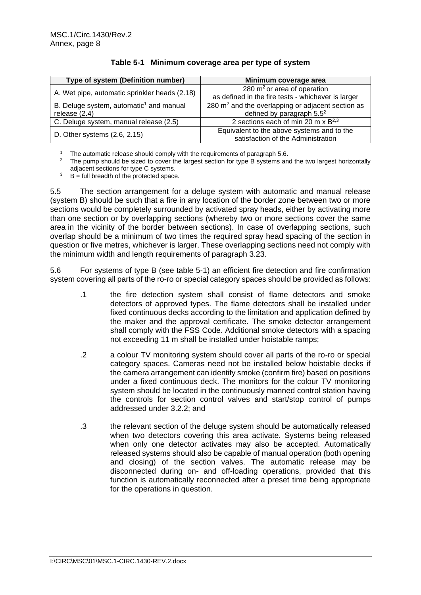| Type of system (Definition number)                  | Minimum coverage area                                                            |
|-----------------------------------------------------|----------------------------------------------------------------------------------|
| A. Wet pipe, automatic sprinkler heads (2.18)       | 280 $m2$ or area of operation                                                    |
|                                                     | as defined in the fire tests - whichever is larger                               |
| B. Deluge system, automatic <sup>1</sup> and manual | 280 $m2$ and the overlapping or adjacent section as                              |
| release $(2.4)$                                     | defined by paragraph $5.52$                                                      |
| C. Deluge system, manual release (2.5)              | 2 sections each of min 20 m x $B^{2,3}$                                          |
| D. Other systems (2.6, 2.15)                        | Equivalent to the above systems and to the<br>satisfaction of the Administration |

**Table 5-1 Minimum coverage area per type of system**

The automatic release should comply with the requirements of paragraph 5.6.

<sup>2</sup> The pump should be sized to cover the largest section for type B systems and the two largest horizontally adjacent sections for type C systems.

 $B =$  full breadth of the protected space.

5.5 The section arrangement for a deluge system with automatic and manual release (system B) should be such that a fire in any location of the border zone between two or more sections would be completely surrounded by activated spray heads, either by activating more than one section or by overlapping sections (whereby two or more sections cover the same area in the vicinity of the border between sections). In case of overlapping sections, such overlap should be a minimum of two times the required spray head spacing of the section in question or five metres, whichever is larger. These overlapping sections need not comply with the minimum width and length requirements of paragraph 3.23.

5.6 For systems of type B (see table 5-1) an efficient fire detection and fire confirmation system covering all parts of the ro-ro or special category spaces should be provided as follows:

- .1 the fire detection system shall consist of flame detectors and smoke detectors of approved types. The flame detectors shall be installed under fixed continuous decks according to the limitation and application defined by the maker and the approval certificate. The smoke detector arrangement shall comply with the FSS Code. Additional smoke detectors with a spacing not exceeding 11 m shall be installed under hoistable ramps;
- .2 a colour TV monitoring system should cover all parts of the ro-ro or special category spaces. Cameras need not be installed below hoistable decks if the camera arrangement can identify smoke (confirm fire) based on positions under a fixed continuous deck. The monitors for the colour TV monitoring system should be located in the continuously manned control station having the controls for section control valves and start/stop control of pumps addressed under 3.2.2; and
- .3 the relevant section of the deluge system should be automatically released when two detectors covering this area activate. Systems being released when only one detector activates may also be accepted. Automatically released systems should also be capable of manual operation (both opening and closing) of the section valves. The automatic release may be disconnected during on- and off-loading operations, provided that this function is automatically reconnected after a preset time being appropriate for the operations in question.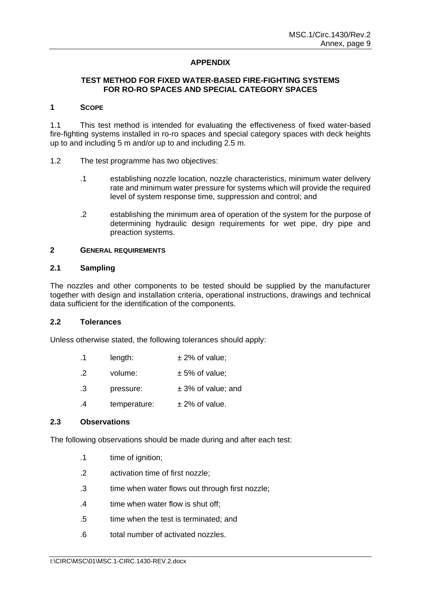# **APPENDIX**

## **TEST METHOD FOR FIXED WATER-BASED FIRE-FIGHTING SYSTEMS FOR RO-RO SPACES AND SPECIAL CATEGORY SPACES**

#### **1 SCOPE**

1.1 This test method is intended for evaluating the effectiveness of fixed water-based fire-fighting systems installed in ro-ro spaces and special category spaces with deck heights up to and including 5 m and/or up to and including 2.5 m.

- 1.2 The test programme has two objectives:
	- .1 establishing nozzle location, nozzle characteristics, minimum water delivery rate and minimum water pressure for systems which will provide the required level of system response time, suppression and control; and
	- .2 establishing the minimum area of operation of the system for the purpose of determining hydraulic design requirements for wet pipe, dry pipe and preaction systems.

### **2 GENERAL REQUIREMENTS**

### **2.1 Sampling**

The nozzles and other components to be tested should be supplied by the manufacturer together with design and installation criteria, operational instructions, drawings and technical data sufficient for the identification of the components.

### **2.2 Tolerances**

Unless otherwise stated, the following tolerances should apply:

| .1        | length:      | $± 2\%$ of value;    |
|-----------|--------------|----------------------|
| $\cdot$ 2 | volume:      | $\pm$ 5% of value;   |
| .3        | pressure:    | $± 3%$ of value; and |
| .4        | temperature: | $±$ 2% of value.     |

#### **2.3 Observations**

The following observations should be made during and after each test:

- .1 time of ignition;
- .2 activation time of first nozzle;
- .3 time when water flows out through first nozzle;
- .4 time when water flow is shut off;
- .5 time when the test is terminated; and
- .6 total number of activated nozzles.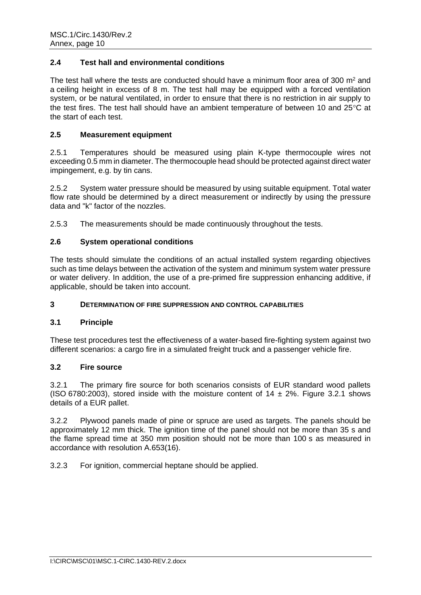# **2.4 Test hall and environmental conditions**

The test hall where the tests are conducted should have a minimum floor area of 300  $m<sup>2</sup>$  and a ceiling height in excess of 8 m. The test hall may be equipped with a forced ventilation system, or be natural ventilated, in order to ensure that there is no restriction in air supply to the test fires. The test hall should have an ambient temperature of between 10 and  $25^{\circ}$ C at the start of each test.

## **2.5 Measurement equipment**

2.5.1 Temperatures should be measured using plain K-type thermocouple wires not exceeding 0.5 mm in diameter. The thermocouple head should be protected against direct water impingement, e.g. by tin cans.

2.5.2 System water pressure should be measured by using suitable equipment. Total water flow rate should be determined by a direct measurement or indirectly by using the pressure data and "k" factor of the nozzles.

2.5.3 The measurements should be made continuously throughout the tests.

# **2.6 System operational conditions**

The tests should simulate the conditions of an actual installed system regarding objectives such as time delays between the activation of the system and minimum system water pressure or water delivery. In addition, the use of a pre-primed fire suppression enhancing additive, if applicable, should be taken into account.

## **3 DETERMINATION OF FIRE SUPPRESSION AND CONTROL CAPABILITIES**

## **3.1 Principle**

These test procedures test the effectiveness of a water-based fire-fighting system against two different scenarios: a cargo fire in a simulated freight truck and a passenger vehicle fire.

## **3.2 Fire source**

3.2.1 The primary fire source for both scenarios consists of EUR standard wood pallets (ISO 6780:2003), stored inside with the moisture content of  $14 \pm 2\%$ . Figure 3.2.1 shows details of a EUR pallet.

3.2.2 Plywood panels made of pine or spruce are used as targets. The panels should be approximately 12 mm thick. The ignition time of the panel should not be more than 35 s and the flame spread time at 350 mm position should not be more than 100 s as measured in accordance with resolution A.653(16).

3.2.3 For ignition, commercial heptane should be applied.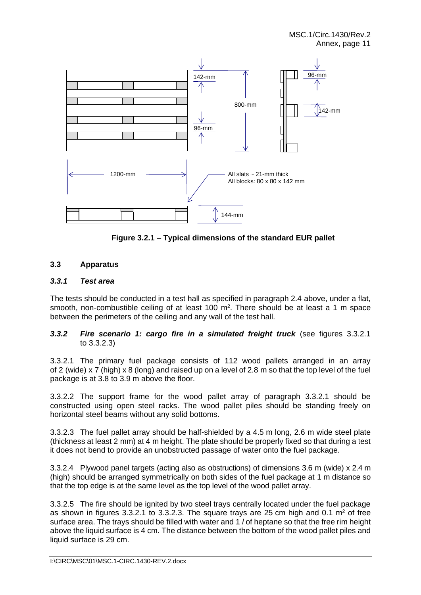

**Figure 3.2.1** − **Typical dimensions of the standard EUR pallet**

# **3.3 Apparatus**

### *3.3.1 Test area*

The tests should be conducted in a test hall as specified in paragraph 2.4 above, under a flat, smooth, non-combustible ceiling of at least 100  $m<sup>2</sup>$ . There should be at least a 1 m space between the perimeters of the ceiling and any wall of the test hall.

### *3.3.2 Fire scenario 1: cargo fire in a simulated freight truck* (see figures 3.3.2.1 to 3.3.2.3)

3.3.2.1 The primary fuel package consists of 112 wood pallets arranged in an array of 2 (wide) x 7 (high) x 8 (long) and raised up on a level of 2.8 m so that the top level of the fuel package is at 3.8 to 3.9 m above the floor.

3.3.2.2 The support frame for the wood pallet array of paragraph 3.3.2.1 should be constructed using open steel racks. The wood pallet piles should be standing freely on horizontal steel beams without any solid bottoms.

3.3.2.3 The fuel pallet array should be half-shielded by a 4.5 m long, 2.6 m wide steel plate (thickness at least 2 mm) at 4 m height. The plate should be properly fixed so that during a test it does not bend to provide an unobstructed passage of water onto the fuel package.

3.3.2.4 Plywood panel targets (acting also as obstructions) of dimensions 3.6 m (wide) x 2.4 m (high) should be arranged symmetrically on both sides of the fuel package at 1 m distance so that the top edge is at the same level as the top level of the wood pallet array.

3.3.2.5 The fire should be ignited by two steel trays centrally located under the fuel package as shown in figures 3.3.2.1 to 3.3.2.3. The square trays are 25 cm high and 0.1  $m<sup>2</sup>$  of free surface area. The trays should be filled with water and 1 *l* of heptane so that the free rim height above the liquid surface is 4 cm. The distance between the bottom of the wood pallet piles and liquid surface is 29 cm.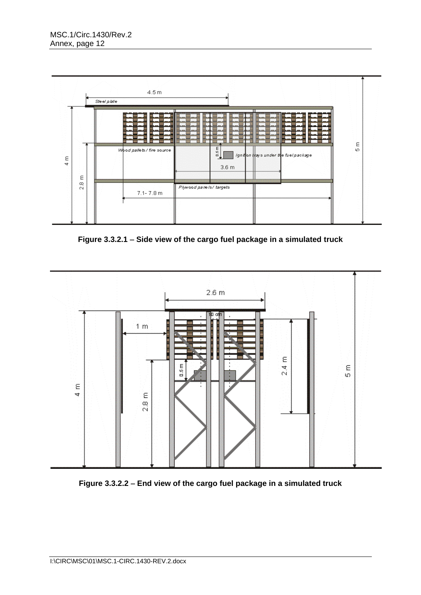

**Figure 3.3.2.1** − **Side view of the cargo fuel package in a simulated truck**



**Figure 3.3.2.2** − **End view of the cargo fuel package in a simulated truck**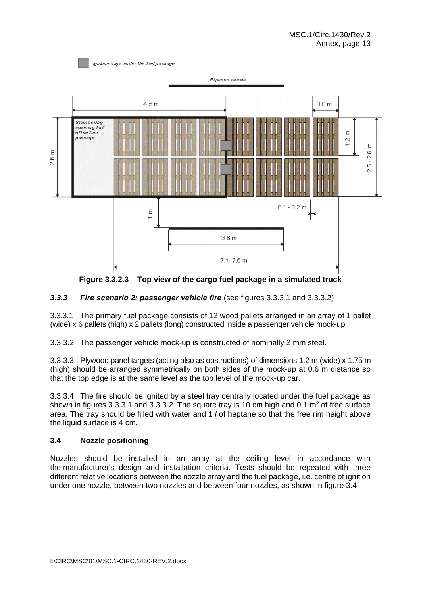

**Figure 3.3.2.3** − **Top view of the cargo fuel package in a simulated truck**

# *3.3.3 Fire scenario 2: passenger vehicle fire* (see figures 3.3.3.1 and 3.3.3.2)

3.3.3.1 The primary fuel package consists of 12 wood pallets arranged in an array of 1 pallet (wide) x 6 pallets (high) x 2 pallets (long) constructed inside a passenger vehicle mock-up.

3.3.3.2 The passenger vehicle mock-up is constructed of nominally 2 mm steel.

3.3.3.3 Plywood panel targets (acting also as obstructions) of dimensions 1.2 m (wide) x 1.75 m (high) should be arranged symmetrically on both sides of the mock-up at 0.6 m distance so that the top edge is at the same level as the top level of the mock-up car.

3.3.3.4 The fire should be ignited by a steel tray centrally located under the fuel package as shown in figures 3.3.3.1 and 3.3.3.2. The square tray is 10 cm high and 0.1  $m<sup>2</sup>$  of free surface area. The tray should be filled with water and 1 *l* of heptane so that the free rim height above the liquid surface is 4 cm.

## **3.4 Nozzle positioning**

Nozzles should be installed in an array at the ceiling level in accordance with the manufacturer's design and installation criteria. Tests should be repeated with three different relative locations between the nozzle array and the fuel package, i.e. centre of ignition under one nozzle, between two nozzles and between four nozzles, as shown in figure 3.4.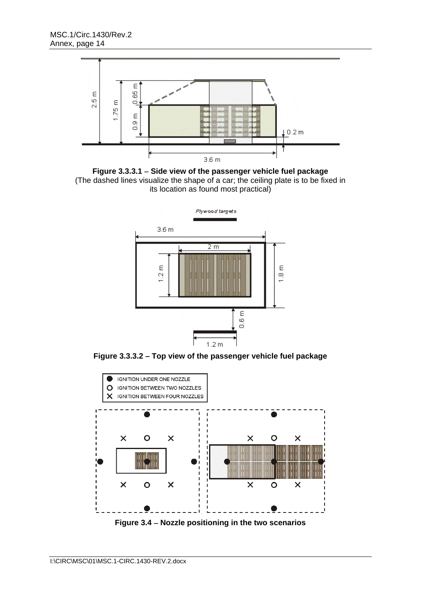

**Figure 3.3.3.1** − **Side view of the passenger vehicle fuel package** (The dashed lines visualize the shape of a car; the ceiling plate is to be fixed in its location as found most practical)



**Figure 3.3.3.2** − **Top view of the passenger vehicle fuel package**



**Figure 3.4** − **Nozzle positioning in the two scenarios**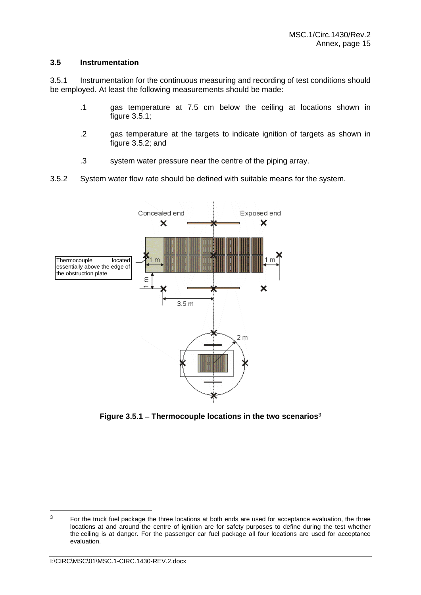### **3.5 Instrumentation**

3.5.1 Instrumentation for the continuous measuring and recording of test conditions should be employed. At least the following measurements should be made:

- .1 gas temperature at 7.5 cm below the ceiling at locations shown in figure 3.5.1;
- .2 gas temperature at the targets to indicate ignition of targets as shown in figure 3.5.2; and
- .3 system water pressure near the centre of the piping array.
- 3.5.2 System water flow rate should be defined with suitable means for the system.



**Figure 3.5.1** − **Thermocouple locations in the two scenarios**<sup>3</sup>

<sup>&</sup>lt;sup>3</sup> For the truck fuel package the three locations at both ends are used for acceptance evaluation, the three locations at and around the centre of ignition are for safety purposes to define during the test whether the ceiling is at danger. For the passenger car fuel package all four locations are used for acceptance evaluation.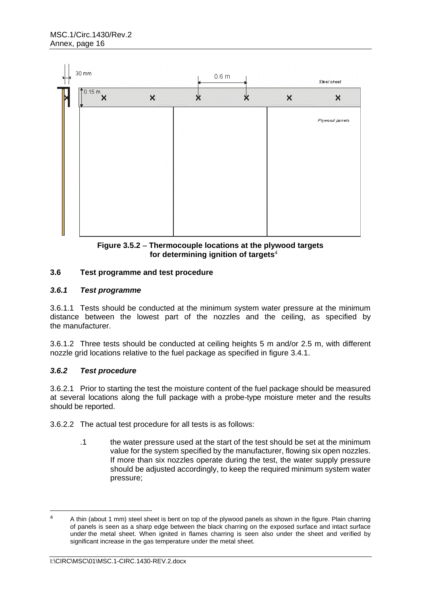

**Figure 3.5.2** − **Thermocouple locations at the plywood targets for determining ignition of targets**<sup>4</sup>

## **3.6 Test programme and test procedure**

### *3.6.1 Test programme*

3.6.1.1 Tests should be conducted at the minimum system water pressure at the minimum distance between the lowest part of the nozzles and the ceiling, as specified by the manufacturer.

3.6.1.2 Three tests should be conducted at ceiling heights 5 m and/or 2.5 m, with different nozzle grid locations relative to the fuel package as specified in figure 3.4.1.

### *3.6.2 Test procedure*

3.6.2.1 Prior to starting the test the moisture content of the fuel package should be measured at several locations along the full package with a probe-type moisture meter and the results should be reported.

3.6.2.2 The actual test procedure for all tests is as follows:

.1 the water pressure used at the start of the test should be set at the minimum value for the system specified by the manufacturer, flowing six open nozzles. If more than six nozzles operate during the test, the water supply pressure should be adjusted accordingly, to keep the required minimum system water pressure;

<sup>&</sup>lt;sup>4</sup> A thin (about 1 mm) steel sheet is bent on top of the plywood panels as shown in the figure. Plain charring of panels is seen as a sharp edge between the black charring on the exposed surface and intact surface under the metal sheet. When ignited in flames charring is seen also under the sheet and verified by significant increase in the gas temperature under the metal sheet.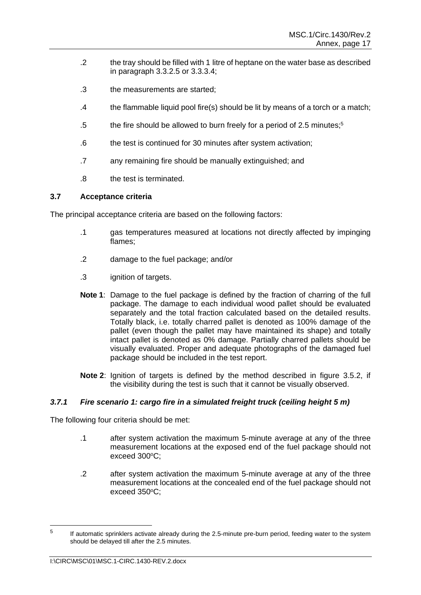- .2 the tray should be filled with 1 litre of heptane on the water base as described in paragraph 3.3.2.5 or 3.3.3.4;
- .3 the measurements are started;
- .4 the flammable liquid pool fire(s) should be lit by means of a torch or a match;
- .5 the fire should be allowed to burn freely for a period of 2.5 minutes; 5
- .6 the test is continued for 30 minutes after system activation;
- .7 any remaining fire should be manually extinguished; and
- .8 the test is terminated.

## **3.7 Acceptance criteria**

The principal acceptance criteria are based on the following factors:

- .1 gas temperatures measured at locations not directly affected by impinging flames;
- .2 damage to the fuel package; and/or
- .3 ignition of targets.
- **Note 1**: Damage to the fuel package is defined by the fraction of charring of the full package. The damage to each individual wood pallet should be evaluated separately and the total fraction calculated based on the detailed results. Totally black, i.e. totally charred pallet is denoted as 100% damage of the pallet (even though the pallet may have maintained its shape) and totally intact pallet is denoted as 0% damage. Partially charred pallets should be visually evaluated. Proper and adequate photographs of the damaged fuel package should be included in the test report.
- **Note 2**: Ignition of targets is defined by the method described in figure 3.5.2, if the visibility during the test is such that it cannot be visually observed.

# *3.7.1 Fire scenario 1: cargo fire in a simulated freight truck (ceiling height 5 m)*

The following four criteria should be met:

- .1 after system activation the maximum 5-minute average at any of the three measurement locations at the exposed end of the fuel package should not exceed  $300^{\circ}$ C;
- .2 after system activation the maximum 5-minute average at any of the three measurement locations at the concealed end of the fuel package should not exceed  $350^{\circ}$ C:

<sup>5</sup> If automatic sprinklers activate already during the 2.5-minute pre-burn period, feeding water to the system should be delayed till after the 2.5 minutes.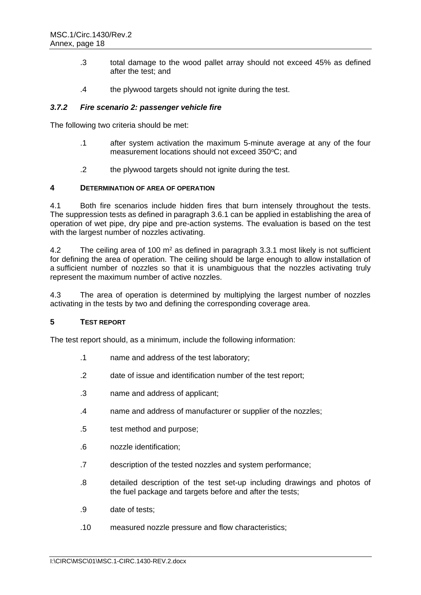- .3 total damage to the wood pallet array should not exceed 45% as defined after the test; and
- .4 the plywood targets should not ignite during the test.

### *3.7.2 Fire scenario 2: passenger vehicle fire*

The following two criteria should be met:

- .1 after system activation the maximum 5-minute average at any of the four measurement locations should not exceed 350°C; and
- .2 the plywood targets should not ignite during the test.

#### **4 DETERMINATION OF AREA OF OPERATION**

4.1 Both fire scenarios include hidden fires that burn intensely throughout the tests. The suppression tests as defined in paragraph 3.6.1 can be applied in establishing the area of operation of wet pipe, dry pipe and pre-action systems. The evaluation is based on the test with the largest number of nozzles activating.

4.2 The ceiling area of 100 m<sup>2</sup> as defined in paragraph 3.3.1 most likely is not sufficient for defining the area of operation. The ceiling should be large enough to allow installation of a sufficient number of nozzles so that it is unambiguous that the nozzles activating truly represent the maximum number of active nozzles.

4.3 The area of operation is determined by multiplying the largest number of nozzles activating in the tests by two and defining the corresponding coverage area.

#### **5 TEST REPORT**

The test report should, as a minimum, include the following information:

- .1 name and address of the test laboratory;
- .2 date of issue and identification number of the test report;
- .3 name and address of applicant;
- .4 name and address of manufacturer or supplier of the nozzles;
- .5 test method and purpose;
- .6 nozzle identification;
- .7 description of the tested nozzles and system performance;
- .8 detailed description of the test set-up including drawings and photos of the fuel package and targets before and after the tests;
- .9 date of tests;
- .10 measured nozzle pressure and flow characteristics;